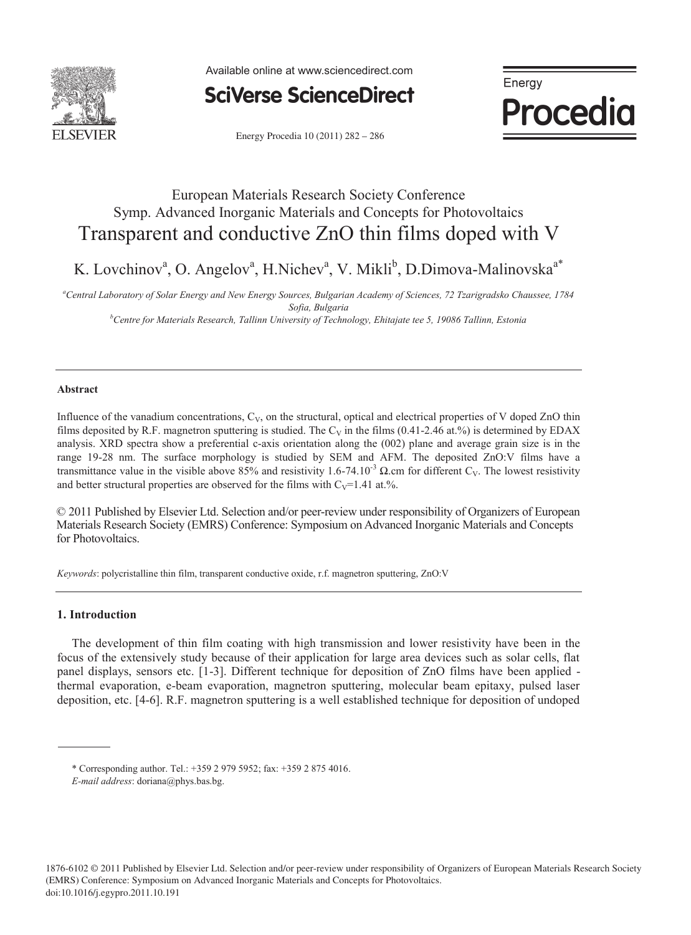

Available online at www.sciencedirect.com



Energy Procedia 10 (2011) 282 - 286

Energy Procedia

# European Materials Research Society Conference Symp. Advanced Inorganic Materials and Concepts for Photovoltaics Transparent and conductive ZnO thin films doped with V

K. Lovchinov<sup>a</sup>, O. Angelov<sup>a</sup>, H.Nichev<sup>a</sup>, V. Mikli<sup>b</sup>, D.Dimova-Malinovska<sup>a\*</sup>

*a Central Laboratory of Solar Energy and New Energy Sources, Bulgarian Academy of Sciences, 72 Tzarigradsko Chaussee, 1784 Sofia, Bulgaria b Centre for Materials Research, Tallinn University of Technology, Ehitajate tee 5, 19086 Tallinn, Estonia* 

## **Abstract**

Influence of the vanadium concentrations,  $C_V$ , on the structural, optical and electrical properties of V doped ZnO thin films deposited by R.F. magnetron sputtering is studied. The C<sub>V</sub> in the films (0.41-2.46 at.%) is determined by EDAX analysis. XRD spectra show a preferential c-axis orientation along the (002) plane and average grain size is in the range 19-28 nm. The surface morphology is studied by SEM and AFM. The deposited ZnO:V films have a transmittance value in the visible above 85% and resistivity 1.6-74.10<sup>-3</sup> Ω.cm for different C<sub>V</sub>. The lowest resistivity and better structural properties are observed for the films with  $C_V=1.41$  at.%.

© 2011 Published by Elsevier Ltd. Selection and/or peer-review under responsibility of Organizers of European Materials Research Society (EMRS) Conference: Symposium on Advanced Inorganic Materials and Concepts for Photovoltaics.

*Keywords*: polycristalline thin film, transparent conductive oxide, r.f. magnetron sputtering, ZnO:V

## **1. Introduction**

The development of thin film coating with high transmission and lower resistivity have been in the focus of the extensively study because of their application for large area devices such as solar cells, flat panel displays, sensors etc. [1-3]. Different technique for deposition of ZnO films have been applied thermal evaporation, e-beam evaporation, magnetron sputtering, molecular beam epitaxy, pulsed laser deposition, etc. [4-6]. R.F. magnetron sputtering is a well established technique for deposition of undoped

<sup>\*</sup> Corresponding author. Tel.: +359 2 979 5952; fax: +359 2 875 4016.

*E-mail address*: doriana@phys.bas.bg.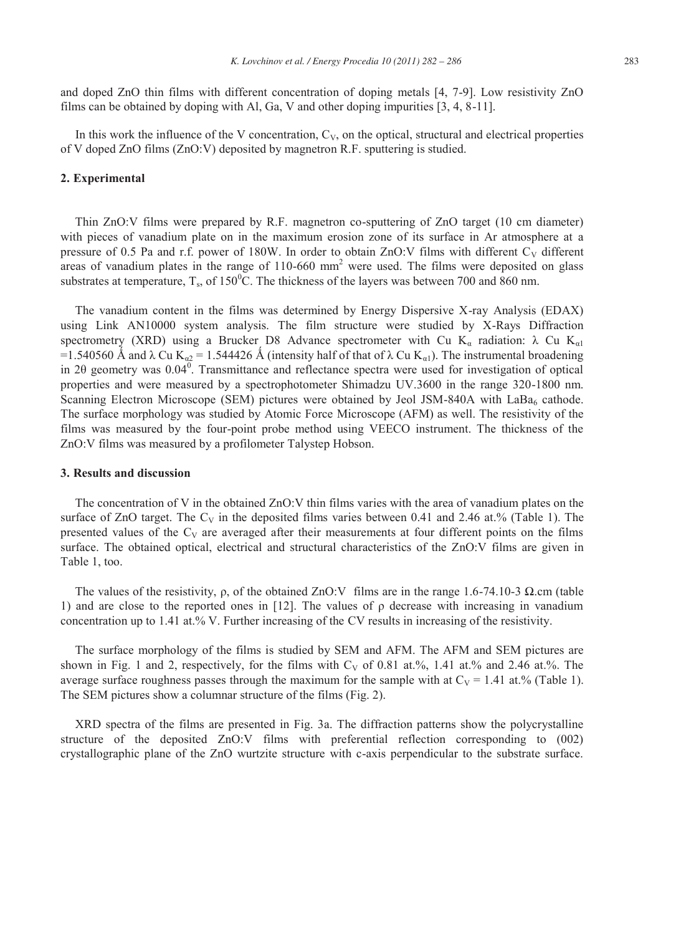and doped ZnO thin films with different concentration of doping metals [4, 7-9]. Low resistivity ZnO films can be obtained by doping with Al, Ga, V and other doping impurities [3, 4, 8-11].

In this work the influence of the V concentration,  $C_V$ , on the optical, structural and electrical properties of V doped ZnO films (ZnO:V) deposited by magnetron R.F. sputtering is studied.

### **2. Experimental**

Thin ZnO:V films were prepared by R.F. magnetron co-sputtering of ZnO target (10 cm diameter) with pieces of vanadium plate on in the maximum erosion zone of its surface in Ar atmosphere at a pressure of 0.5 Pa and r.f. power of 180W. In order to obtain ZnO:V films with different  $C_V$  different areas of vanadium plates in the range of  $110-660$  mm<sup>2</sup> were used. The films were deposited on glass substrates at temperature,  $T_s$ , of 150<sup>0</sup>C. The thickness of the layers was between 700 and 860 nm.

The vanadium content in the films was determined by Energy Dispersive X-ray Analysis (EDAX) using Link AN10000 system analysis. The film structure were studied by X-Rays Diffraction spectrometry (XRD) using a Brucker D8 Advance spectrometer with Cu K<sub>a</sub> radiation:  $\lambda$  Cu K<sub>a1</sub> =1.540560 Å and  $\lambda$  Cu K<sub>a2</sub> = 1.544426 Å (intensity half of that of  $\lambda$  Cu K<sub>a1</sub>). The instrumental broadening in 20 geometry was  $0.04^0$ . Transmittance and reflectance spectra were used for investigation of optical properties and were measured by a spectrophotometer Shimadzu UV.3600 in the range 320-1800 nm. Scanning Electron Microscope (SEM) pictures were obtained by Jeol JSM-840A with LaBa<sub>6</sub> cathode. The surface morphology was studied by Atomic Force Microscope (AFM) as well. The resistivity of the films was measured by the four-point probe method using VEECO instrument. The thickness of the ZnO:V films was measured by a profilometer Talystep Hobson.

#### **3. Results and discussion**

The concentration of V in the obtained ZnO:V thin films varies with the area of vanadium plates on the surface of ZnO target. The  $C_V$  in the deposited films varies between 0.41 and 2.46 at.% (Table 1). The presented values of the  $C_V$  are averaged after their measurements at four different points on the films surface. The obtained optical, electrical and structural characteristics of the ZnO:V films are given in Table 1, too.

The values of the resistivity, ρ, of the obtained ZnO:V films are in the range 1.6-74.10-3 Ω.cm (table 1) and are close to the reported ones in [12]. The values of  $\rho$  decrease with increasing in vanadium concentration up to 1.41 at.% V. Further increasing of the CV results in increasing of the resistivity.

The surface morphology of the films is studied by SEM and AFM. The AFM and SEM pictures are shown in Fig. 1 and 2, respectively, for the films with  $C_V$  of 0.81 at.%, 1.41 at.% and 2.46 at.%. The average surface roughness passes through the maximum for the sample with at  $C_V = 1.41$  at.% (Table 1). The SEM pictures show a columnar structure of the films (Fig. 2).

XRD spectra of the films are presented in Fig. 3a. The diffraction patterns show the polycrystalline structure of the deposited ZnO:V films with preferential reflection corresponding to (002) crystallographic plane of the ZnO wurtzite structure with c-axis perpendicular to the substrate surface.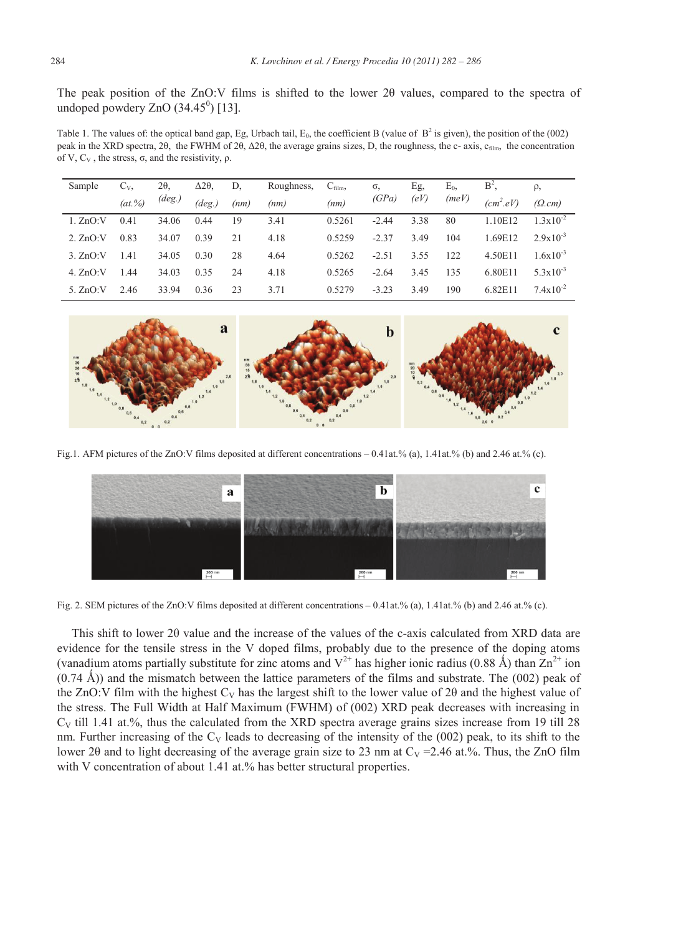The peak position of the ZnO:V films is shifted to the lower 2θ values, compared to the spectra of undoped powdery  $ZnO(34.45^0)$  [13].

Table 1. The values of: the optical band gap, Eg, Urbach tail,  $E_0$ , the coefficient B (value of  $B^2$  is given), the position of the (002) peak in the XRD spectra, 2θ, the FWHM of 2θ,  $\Delta$ 2θ, the average grains sizes, D, the roughness, the c- axis, c<sub>film</sub>, the concentration of V,  $C_V$ , the stress, σ, and the resistivity, ρ.

| Sample     | $C_{V}$   | $2\theta$       | $\Delta 2\theta$ | D.   | Roughness, | $C_{\text{film}}$ | σ,      | Eg,  | $E_0$ | $B^2$ ,     | $\rho$ ,             |
|------------|-----------|-----------------|------------------|------|------------|-------------------|---------|------|-------|-------------|----------------------|
|            | $(at.\%)$ | $(\text{deg.})$ | $(\text{deg.})$  | (nm) | (nm)       | (nm)              | (GPa)   | (eV) | (meV) | $(cm^2.eV)$ | (Q.cm)               |
| 1. ZnO:V   | 0.41      | 34.06           | 0.44             | 19   | 3.41       | 0.5261            | $-2.44$ | 3.38 | 80    | 1.10E12     | $1.3x10^{-2}$        |
| 2. ZnO:V   | 0.83      | 34.07           | 0.39             | 21   | 4.18       | 0.5259            | $-2.37$ | 3.49 | 104   | 1.69E12     | $2.9x10^{-3}$        |
| 3. ZnO:V   | 1.41      | 34.05           | 0.30             | 28   | 4.64       | 0.5262            | $-2.51$ | 3.55 | 122   | 4.50E11     | $1.6x10^{-3}$        |
| 4. ZnO:V   | 1.44      | 34.03           | 0.35             | 24   | 4.18       | 0.5265            | $-2.64$ | 3.45 | 135   | 6.80E11     | $5.3 \times 10^{-3}$ |
| 5. $ZnO:V$ | 2.46      | 33.94           | 0.36             | 23   | 3.71       | 0.5279            | $-3.23$ | 3.49 | 190   | 6.82E11     | $7.4 \times 10^{-2}$ |



Fig.1. AFM pictures of the ZnO:V films deposited at different concentrations – 0.41at.% (a), 1.41at.% (b) and 2.46 at.% (c).



Fig. 2. SEM pictures of the ZnO:V films deposited at different concentrations – 0.41at.% (a), 1.41at.% (b) and 2.46 at.% (c).

This shift to lower 2θ value and the increase of the values of the c-axis calculated from XRD data are evidence for the tensile stress in the V doped films, probably due to the presence of the doping atoms (vanadium atoms partially substitute for zinc atoms and  $V^{2+}$  has higher ionic radius (0.88 Å) than  $Zn^{2+}$  ion  $(0.74 \text{ Å})$ ) and the mismatch between the lattice parameters of the films and substrate. The  $(002)$  peak of the ZnO:V film with the highest  $C_V$  has the largest shift to the lower value of 20 and the highest value of the stress. The Full Width at Half Maximum (FWHM) of (002) XRD peak decreases with increasing in  $C_V$  till 1.41 at.%, thus the calculated from the XRD spectra average grains sizes increase from 19 till 28 nm. Further increasing of the  $C_V$  leads to decreasing of the intensity of the (002) peak, to its shift to the lower 20 and to light decreasing of the average grain size to 23 nm at  $C_V = 2.46$  at.%. Thus, the ZnO film with V concentration of about 1.41 at.% has better structural properties.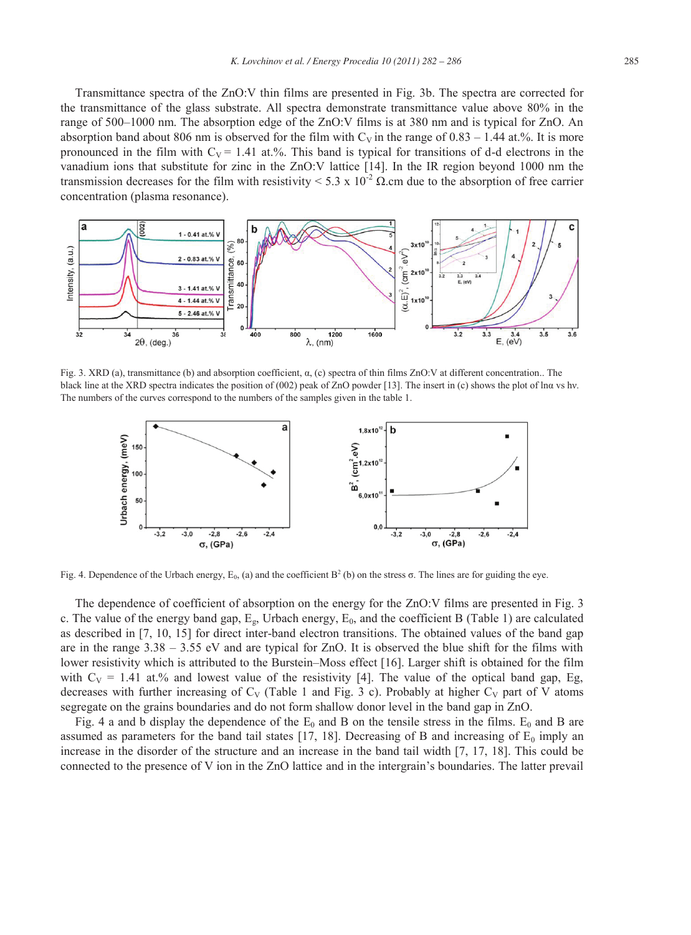Transmittance spectra of the ZnO:V thin films are presented in Fig. 3b. The spectra are corrected for the transmittance of the glass substrate. All spectra demonstrate transmittance value above 80% in the range of 500–1000 nm. The absorption edge of the ZnO:V films is at 380 nm and is typical for ZnO. An absorption band about 806 nm is observed for the film with  $C_V$  in the range of 0.83 – 1.44 at.%. It is more pronounced in the film with  $C_V = 1.41$  at.%. This band is typical for transitions of d-d electrons in the vanadium ions that substitute for zinc in the ZnO:V lattice [14]. In the IR region beyond 1000 nm the transmission decreases for the film with resistivity < 5.3 x 10<sup>-2</sup> Ω.cm due to the absorption of free carrier concentration (plasma resonance).



Fig. 3. XRD (a), transmittance (b) and absorption coefficient,  $\alpha$ , (c) spectra of thin films ZnO:V at different concentration.. The black line at the XRD spectra indicates the position of (002) peak of ZnO powder [13]. The insert in (c) shows the plot of lnα vs hν. The numbers of the curves correspond to the numbers of the samples given in the table 1.



Fig. 4. Dependence of the Urbach energy, E<sub>0</sub>, (a) and the coefficient B<sup>2</sup> (b) on the stress  $\sigma$ . The lines are for guiding the eye.

The dependence of coefficient of absorption on the energy for the ZnO:V films are presented in Fig. 3 c. The value of the energy band gap,  $E_g$ , Urbach energy,  $E_0$ , and the coefficient B (Table 1) are calculated as described in [7, 10, 15] for direct inter-band electron transitions. The obtained values of the band gap are in the range 3.38 – 3.55 eV and are typical for ZnO. It is observed the blue shift for the films with lower resistivity which is attributed to the Burstein–Moss effect [16]. Larger shift is obtained for the film with  $C_V = 1.41$  at.% and lowest value of the resistivity [4]. The value of the optical band gap, Eg, decreases with further increasing of  $C_V$  (Table 1 and Fig. 3 c). Probably at higher  $C_V$  part of V atoms segregate on the grains boundaries and do not form shallow donor level in the band gap in ZnO.

Fig. 4 a and b display the dependence of the  $E_0$  and B on the tensile stress in the films.  $E_0$  and B are assumed as parameters for the band tail states [17, 18]. Decreasing of B and increasing of  $E_0$  imply an increase in the disorder of the structure and an increase in the band tail width [7, 17, 18]. This could be connected to the presence of V ion in the ZnO lattice and in the intergrain's boundaries. The latter prevail